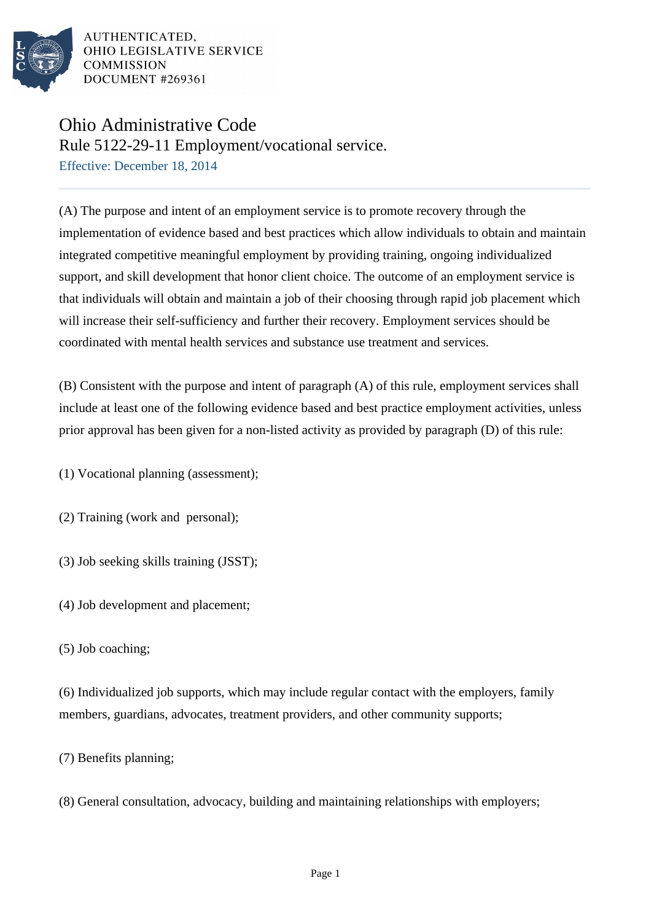

AUTHENTICATED. OHIO LEGISLATIVE SERVICE **COMMISSION DOCUMENT #269361** 

## Ohio Administrative Code

Rule 5122-29-11 Employment/vocational service.

Effective: December 18, 2014

(A) The purpose and intent of an employment service is to promote recovery through the implementation of evidence based and best practices which allow individuals to obtain and maintain integrated competitive meaningful employment by providing training, ongoing individualized support, and skill development that honor client choice. The outcome of an employment service is that individuals will obtain and maintain a job of their choosing through rapid job placement which will increase their self-sufficiency and further their recovery. Employment services should be coordinated with mental health services and substance use treatment and services.

(B) Consistent with the purpose and intent of paragraph (A) of this rule, employment services shall include at least one of the following evidence based and best practice employment activities, unless prior approval has been given for a non-listed activity as provided by paragraph (D) of this rule:

(1) Vocational planning (assessment);

(2) Training (work and personal);

- (3) Job seeking skills training (JSST);
- (4) Job development and placement;
- (5) Job coaching;

(6) Individualized job supports, which may include regular contact with the employers, family members, guardians, advocates, treatment providers, and other community supports;

(7) Benefits planning;

(8) General consultation, advocacy, building and maintaining relationships with employers;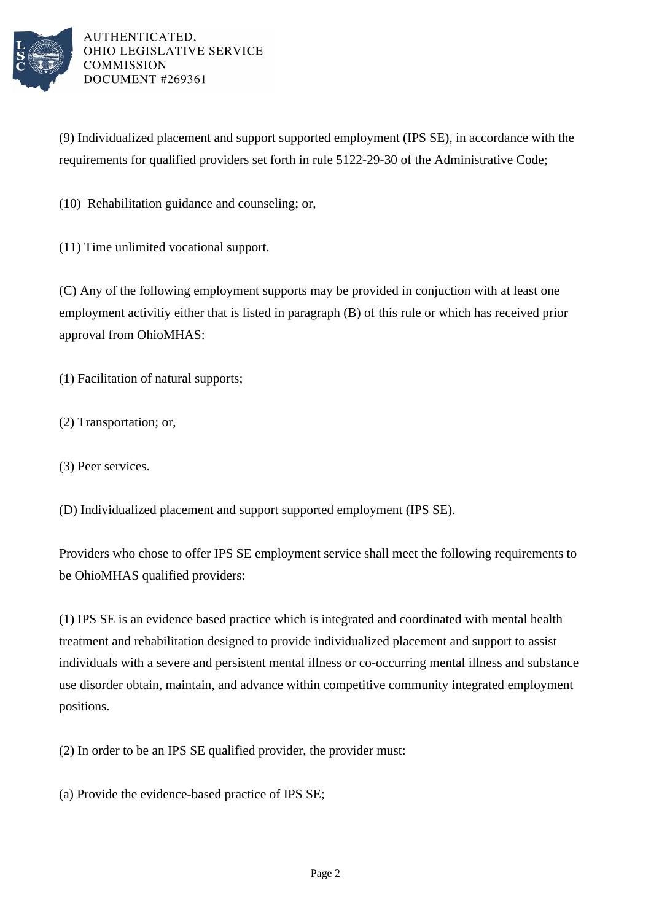

AUTHENTICATED. OHIO LEGISLATIVE SERVICE **COMMISSION** DOCUMENT #269361

(9) Individualized placement and support supported employment (IPS SE), in accordance with the requirements for qualified providers set forth in rule 5122-29-30 of the Administrative Code;

(10) Rehabilitation guidance and counseling; or,

(11) Time unlimited vocational support.

(C) Any of the following employment supports may be provided in conjuction with at least one employment activitiy either that is listed in paragraph (B) of this rule or which has received prior approval from OhioMHAS:

(1) Facilitation of natural supports;

- (2) Transportation; or,
- (3) Peer services.

(D) Individualized placement and support supported employment (IPS SE).

Providers who chose to offer IPS SE employment service shall meet the following requirements to be OhioMHAS qualified providers:

(1) IPS SE is an evidence based practice which is integrated and coordinated with mental health treatment and rehabilitation designed to provide individualized placement and support to assist individuals with a severe and persistent mental illness or co-occurring mental illness and substance use disorder obtain, maintain, and advance within competitive community integrated employment positions.

(2) In order to be an IPS SE qualified provider, the provider must:

(a) Provide the evidence-based practice of IPS SE;